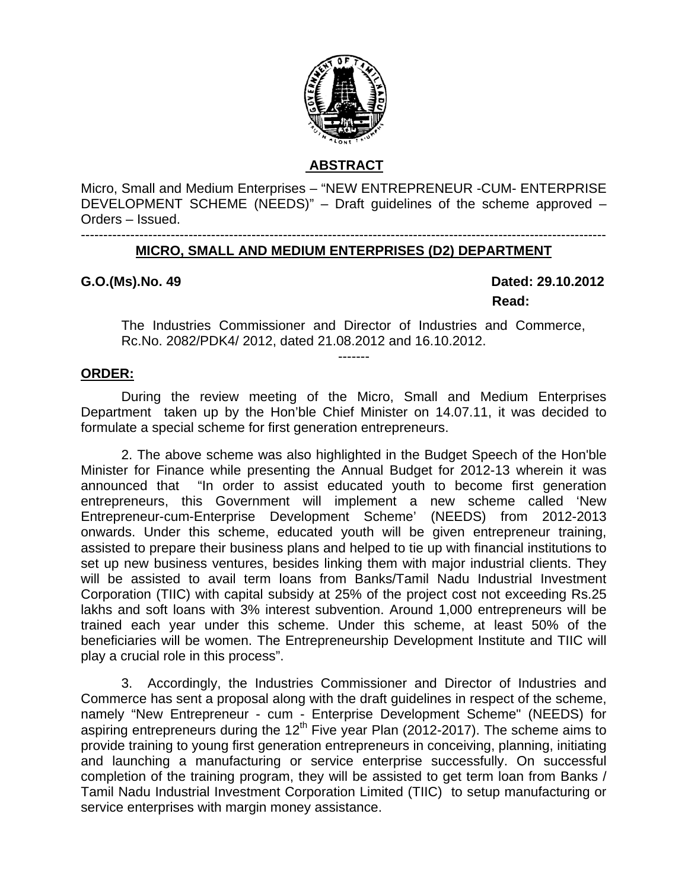

# **ABSTRACT**

Micro, Small and Medium Enterprises – "NEW ENTREPRENEUR -CUM- ENTERPRISE DEVELOPMENT SCHEME (NEEDS)" – Draft guidelines of the scheme approved – Orders – Issued.

#### --------------------------------------------------------------------------------------------------------------------- **MICRO, SMALL AND MEDIUM ENTERPRISES (D2) DEPARTMENT**

**G.O.(Ms).No. 49 Dated: 29.10.2012 Read:** 

The Industries Commissioner and Director of Industries and Commerce, Rc.No. 2082/PDK4/ 2012, dated 21.08.2012 and 16.10.2012.

-------

#### **ORDER:**

During the review meeting of the Micro, Small and Medium Enterprises Department taken up by the Hon'ble Chief Minister on 14.07.11, it was decided to formulate a special scheme for first generation entrepreneurs.

2. The above scheme was also highlighted in the Budget Speech of the Hon'ble Minister for Finance while presenting the Annual Budget for 2012-13 wherein it was announced that "In order to assist educated youth to become first generation entrepreneurs, this Government will implement a new scheme called 'New Entrepreneur-cum-Enterprise Development Scheme' (NEEDS) from 2012-2013 onwards. Under this scheme, educated youth will be given entrepreneur training, assisted to prepare their business plans and helped to tie up with financial institutions to set up new business ventures, besides linking them with major industrial clients. They will be assisted to avail term loans from Banks/Tamil Nadu Industrial Investment Corporation (TIIC) with capital subsidy at 25% of the project cost not exceeding Rs.25 lakhs and soft loans with 3% interest subvention. Around 1,000 entrepreneurs will be trained each year under this scheme. Under this scheme, at least 50% of the beneficiaries will be women. The Entrepreneurship Development Institute and TIIC will play a crucial role in this process".

3. Accordingly, the Industries Commissioner and Director of Industries and Commerce has sent a proposal along with the draft guidelines in respect of the scheme, namely "New Entrepreneur - cum - Enterprise Development Scheme" (NEEDS) for aspiring entrepreneurs during the  $12<sup>th</sup>$  Five year Plan (2012-2017). The scheme aims to provide training to young first generation entrepreneurs in conceiving, planning, initiating and launching a manufacturing or service enterprise successfully. On successful completion of the training program, they will be assisted to get term loan from Banks / Tamil Nadu Industrial Investment Corporation Limited (TIIC) to setup manufacturing or service enterprises with margin money assistance.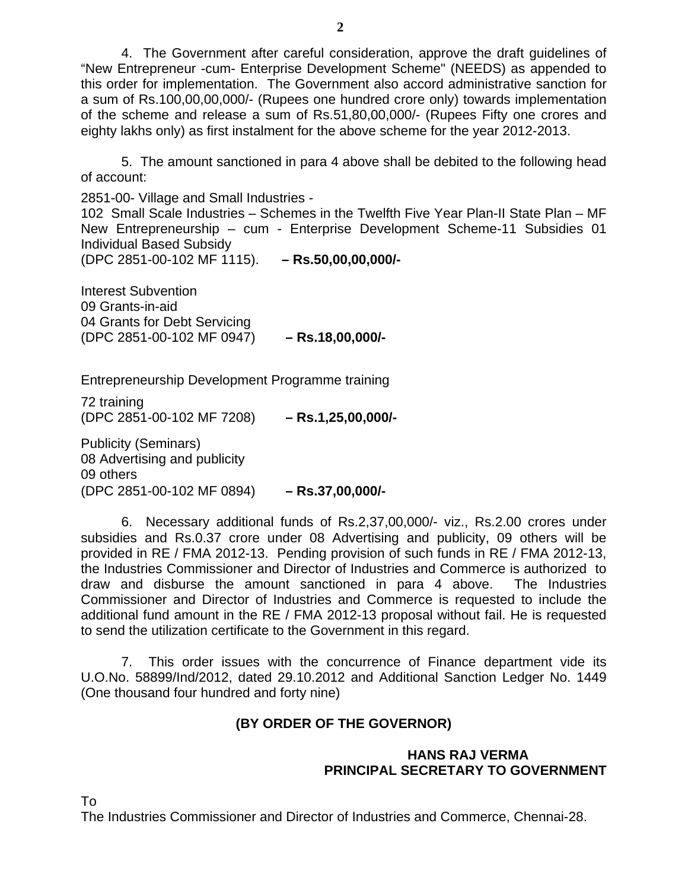4. The Government after careful consideration, approve the draft guidelines of "New Entrepreneur -cum- Enterprise Development Scheme" (NEEDS) as appended to this order for implementation. The Government also accord administrative sanction for a sum of Rs.100,00,00,000/- (Rupees one hundred crore only) towards implementation of the scheme and release a sum of Rs.51,80,00,000/- (Rupees Fifty one crores and eighty lakhs only) as first instalment for the above scheme for the year 2012-2013.

5. The amount sanctioned in para 4 above shall be debited to the following head of account:

2851-00- Village and Small Industries -

102 Small Scale Industries – Schemes in the Twelfth Five Year Plan-II State Plan – MF New Entrepreneurship – cum - Enterprise Development Scheme-11 Subsidies 01 Individual Based Subsidy

(DPC 2851-00-102 MF 1115). **– Rs.50,00,00,000/-**

Interest Subvention 09 Grants-in-aid 04 Grants for Debt Servicing (DPC 2851-00-102 MF 0947) **– Rs.18,00,000/-** 

Entrepreneurship Development Programme training

72 training (DPC 2851-00-102 MF 7208) **– Rs.1,25,00,000/-**

Publicity (Seminars) 08 Advertising and publicity 09 others (DPC 2851-00-102 MF 0894) **– Rs.37,00,000/-** 

6. Necessary additional funds of Rs.2,37,00,000/- viz., Rs.2.00 crores under subsidies and Rs.0.37 crore under 08 Advertising and publicity, 09 others will be provided in RE / FMA 2012-13. Pending provision of such funds in RE / FMA 2012-13, the Industries Commissioner and Director of Industries and Commerce is authorized to draw and disburse the amount sanctioned in para 4 above. The Industries Commissioner and Director of Industries and Commerce is requested to include the additional fund amount in the RE / FMA 2012-13 proposal without fail. He is requested to send the utilization certificate to the Government in this regard.

 7. This order issues with the concurrence of Finance department vide its U.O.No. 58899/Ind/2012, dated 29.10.2012 and Additional Sanction Ledger No. 1449 (One thousand four hundred and forty nine)

# **(BY ORDER OF THE GOVERNOR)**

# **HANS RAJ VERMA PRINCIPAL SECRETARY TO GOVERNMENT**

To

The Industries Commissioner and Director of Industries and Commerce, Chennai-28.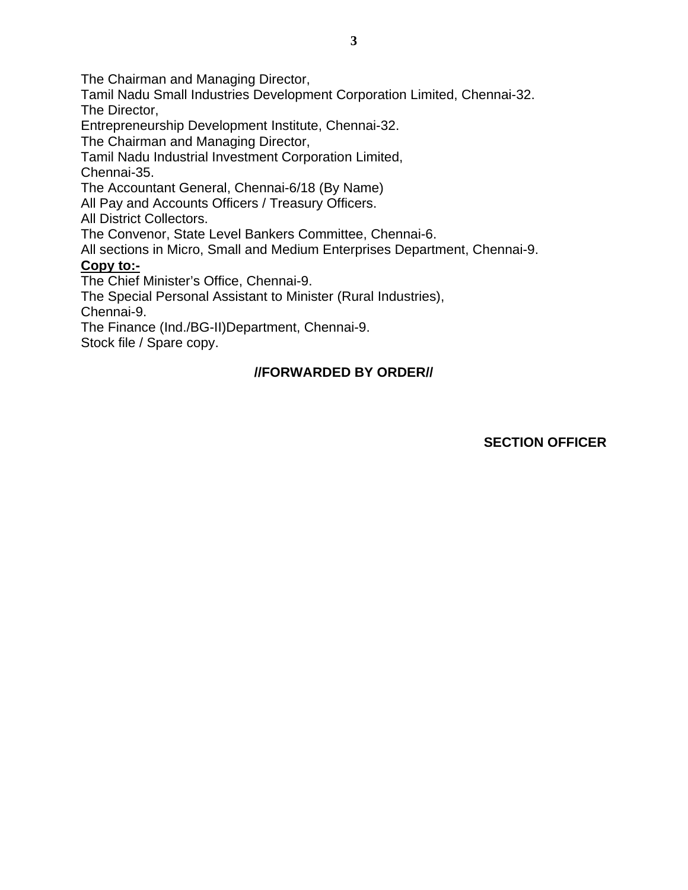The Chairman and Managing Director,

Tamil Nadu Small Industries Development Corporation Limited, Chennai-32. The Director,

Entrepreneurship Development Institute, Chennai-32.

The Chairman and Managing Director,

Tamil Nadu Industrial Investment Corporation Limited, Chennai-35.

The Accountant General, Chennai-6/18 (By Name)

All Pay and Accounts Officers / Treasury Officers.

All District Collectors.

The Convenor, State Level Bankers Committee, Chennai-6.

All sections in Micro, Small and Medium Enterprises Department, Chennai-9.

# **Copy to:-**

The Chief Minister's Office, Chennai-9.

The Special Personal Assistant to Minister (Rural Industries), Chennai-9.

The Finance (Ind./BG-II)Department, Chennai-9.

Stock file / Spare copy.

# **//FORWARDED BY ORDER//**

# **SECTION OFFICER**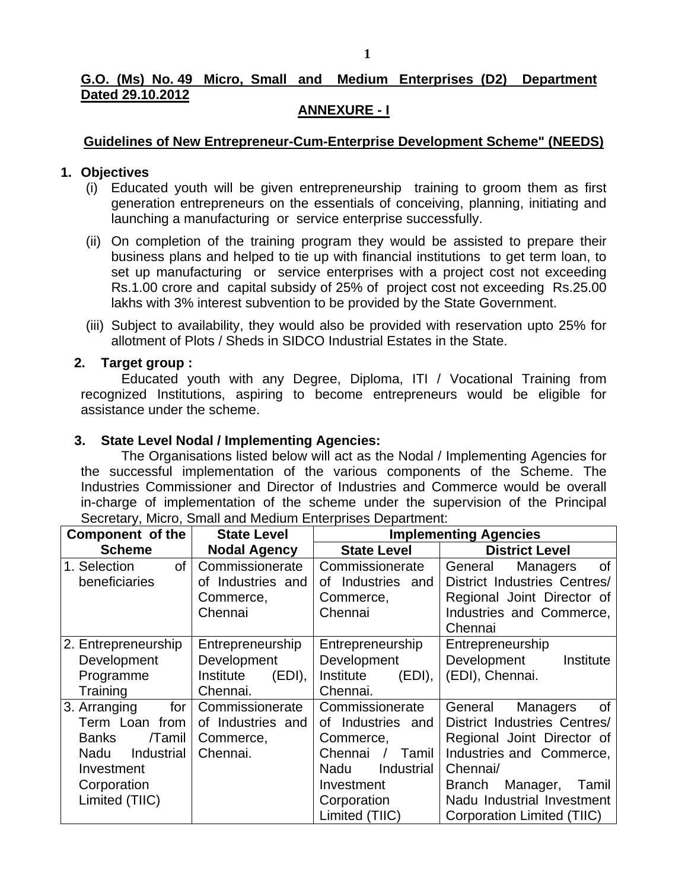# **G.O. (Ms) No. 49 Micro, Small and Medium Enterprises (D2) Department Dated 29.10.2012**

# **ANNEXURE - I**

# **Guidelines of New Entrepreneur-Cum-Enterprise Development Scheme" (NEEDS)**

# **1. Objectives**

- (i) Educated youth will be given entrepreneurship training to groom them as first generation entrepreneurs on the essentials of conceiving, planning, initiating and launching a manufacturing or service enterprise successfully.
- (ii) On completion of the training program they would be assisted to prepare their business plans and helped to tie up with financial institutions to get term loan, to set up manufacturing or service enterprises with a project cost not exceeding Rs.1.00 crore and capital subsidy of 25% of project cost not exceeding Rs.25.00 lakhs with 3% interest subvention to be provided by the State Government.
- (iii) Subject to availability, they would also be provided with reservation upto 25% for allotment of Plots / Sheds in SIDCO Industrial Estates in the State.

# **2. Target group :**

Educated youth with any Degree, Diploma, ITI / Vocational Training from recognized Institutions, aspiring to become entrepreneurs would be eligible for assistance under the scheme.

# **3. State Level Nodal / Implementing Agencies:**

The Organisations listed below will act as the Nodal / Implementing Agencies for the successful implementation of the various components of the Scheme. The Industries Commissioner and Director of Industries and Commerce would be overall in-charge of implementation of the scheme under the supervision of the Principal Secretary, Micro, Small and Medium Enterprises Department:

| <b>Component of the</b> | <b>State Level</b>  | <b>Implementing Agencies</b> |                                         |  |
|-------------------------|---------------------|------------------------------|-----------------------------------------|--|
| <b>Scheme</b>           | <b>Nodal Agency</b> | <b>State Level</b>           | <b>District Level</b>                   |  |
| οf<br>1. Selection      | Commissionerate     | Commissionerate              | <b>of</b><br>General<br><b>Managers</b> |  |
| beneficiaries           | of Industries and   | Industries and<br>οf         | <b>District Industries Centres/</b>     |  |
|                         | Commerce,           | Commerce,                    | Regional Joint Director of              |  |
|                         | Chennai             | Chennai                      | Industries and Commerce,                |  |
|                         |                     |                              | Chennai                                 |  |
| 2. Entrepreneurship     | Entrepreneurship    | Entrepreneurship             | Entrepreneurship                        |  |
| Development             | Development         | Development                  | Development<br>Institute                |  |
| Programme               | Institute<br>(EDI), | Institute<br>$(EDI)$ ,       | (EDI), Chennai.                         |  |
| Training                | Chennai.            | Chennai.                     |                                         |  |
| 3. Arranging<br>for     | Commissionerate     | Commissionerate              | οf<br>General<br><b>Managers</b>        |  |
| Term Loan from          | of Industries and   | of Industries and            | District Industries Centres/            |  |
| <b>Banks</b><br>/Tamil  | Commerce,           | Commerce,                    | Regional Joint Director of              |  |
| Industrial<br>Nadu      | Chennai.            | Chennai<br><b>Tamil</b>      | Industries and Commerce,                |  |
| Investment              |                     | Industrial<br>Nadu           | Chennai/                                |  |
| Corporation             |                     | Investment                   | Branch<br>Manager,<br>Tamil             |  |
| Limited (TIIC)          |                     | Corporation                  | Nadu Industrial Investment              |  |
|                         |                     | Limited (TIIC)               | Corporation Limited (TIIC)              |  |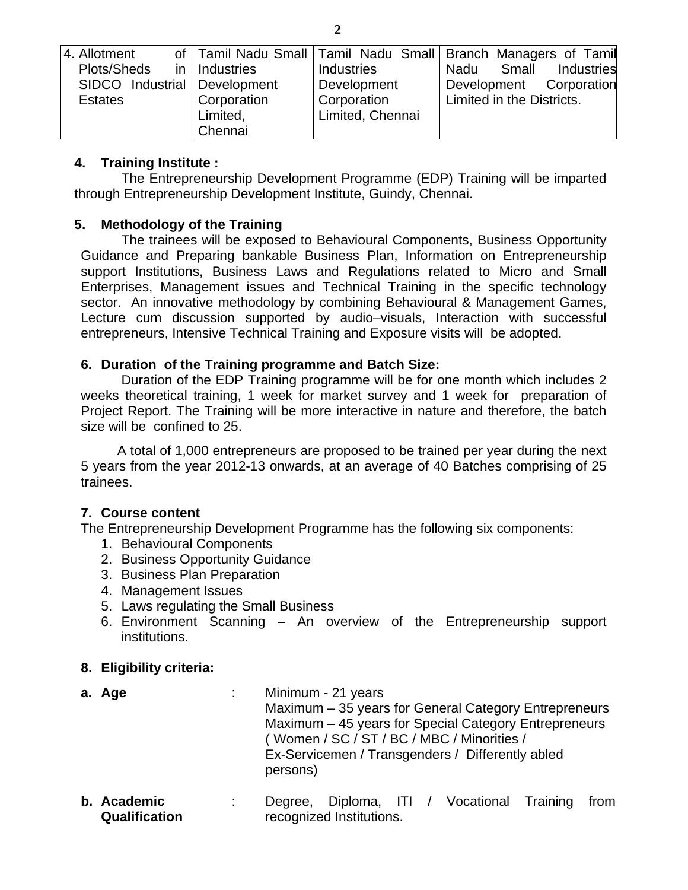| 4. Allotment                   |                 |                   | of   Tamil Nadu Small   Tamil Nadu Small   Branch Managers of Tamil |
|--------------------------------|-----------------|-------------------|---------------------------------------------------------------------|
| Plots/Sheds                    | in   Industries | <b>Industries</b> | Small<br>Industries<br>Nadu                                         |
| SIDCO Industrial   Development |                 | Development       | Development Corporation                                             |
| <b>Estates</b>                 | Corporation     | Corporation       | Limited in the Districts.                                           |
|                                | Limited,        | Limited, Chennai  |                                                                     |
|                                | Chennai         |                   |                                                                     |

# **4. Training Institute :**

 The Entrepreneurship Development Programme (EDP) Training will be imparted through Entrepreneurship Development Institute, Guindy, Chennai.

# **5. Methodology of the Training**

The trainees will be exposed to Behavioural Components, Business Opportunity Guidance and Preparing bankable Business Plan, Information on Entrepreneurship support Institutions, Business Laws and Regulations related to Micro and Small Enterprises, Management issues and Technical Training in the specific technology sector. An innovative methodology by combining Behavioural & Management Games, Lecture cum discussion supported by audio–visuals, Interaction with successful entrepreneurs, Intensive Technical Training and Exposure visits will be adopted.

# **6. Duration of the Training programme and Batch Size:**

 Duration of the EDP Training programme will be for one month which includes 2 weeks theoretical training, 1 week for market survey and 1 week for preparation of Project Report. The Training will be more interactive in nature and therefore, the batch size will be confined to 25.

 A total of 1,000 entrepreneurs are proposed to be trained per year during the next 5 years from the year 2012-13 onwards, at an average of 40 Batches comprising of 25 trainees.

# **7. Course content**

The Entrepreneurship Development Programme has the following six components:

- 1. Behavioural Components
- 2. Business Opportunity Guidance
- 3. Business Plan Preparation
- 4. Management Issues
- 5. Laws regulating the Small Business
- 6. Environment Scanning An overview of the Entrepreneurship support institutions.

# **8. Eligibility criteria:**

- **a. Age · · · · · · · · · Minimum 21 years** Maximum – 35 years for General Category Entrepreneurs Maximum – 45 years for Special Category Entrepreneurs ( Women / SC / ST / BC / MBC / Minorities / Ex-Servicemen / Transgenders / Differently abled persons)
- **b. Academic Qualification** : Degree, Diploma, ITI / Vocational Training from recognized Institutions.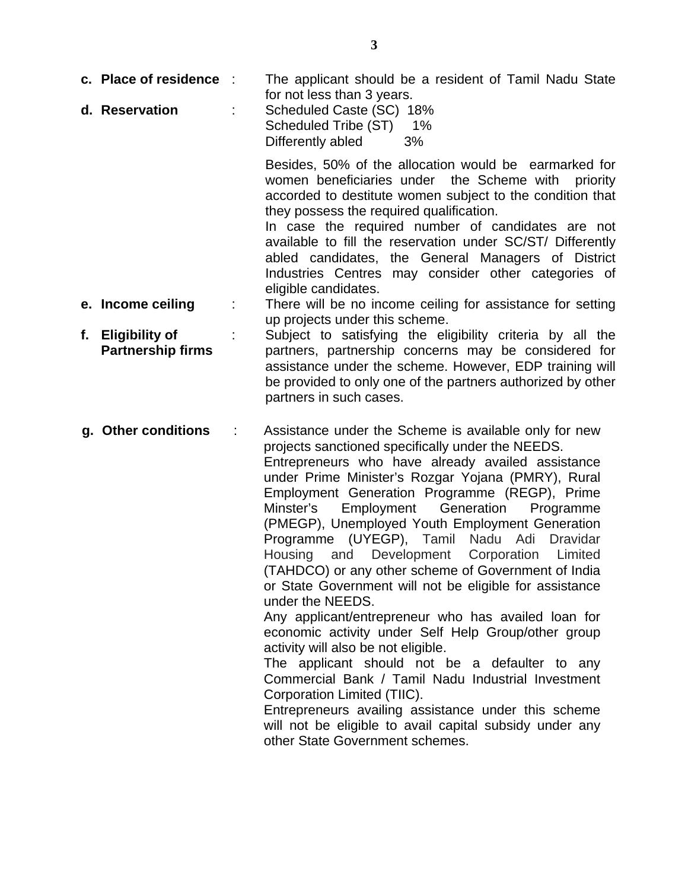- **c. Place of residence** : The applicant should be a resident of Tamil Nadu State for not less than 3 years.
- **d. Reservation** : Scheduled Caste (SC) 18% Scheduled Tribe (ST) 1% Differently abled 3%

Besides, 50% of the allocation would be earmarked for women beneficiaries under the Scheme with priority accorded to destitute women subject to the condition that they possess the required qualification.

In case the required number of candidates are not available to fill the reservation under SC/ST/ Differently abled candidates, the General Managers of District Industries Centres may consider other categories of eligible candidates.

- **e. Income ceiling** : There will be no income ceiling for assistance for setting up projects under this scheme.
- **f. Eligibility of Partnership firms**  : Subject to satisfying the eligibility criteria by all the partners, partnership concerns may be considered for assistance under the scheme. However, EDP training will be provided to only one of the partners authorized by other partners in such cases.

**g. Other conditions** : Assistance under the Scheme is available only for new projects sanctioned specifically under the NEEDS. Entrepreneurs who have already availed assistance under Prime Minister's Rozgar Yojana (PMRY), Rural Employment Generation Programme (REGP), Prime Minster's Employment Generation Programme (PMEGP), Unemployed Youth Employment Generation Programme (UYEGP), Tamil Nadu Adi Dravidar Housing and Development Corporation Limited (TAHDCO) or any other scheme of Government of India or State Government will not be eligible for assistance under the NEEDS. Any applicant/entrepreneur who has availed loan for

economic activity under Self Help Group/other group activity will also be not eligible.

The applicant should not be a defaulter to any Commercial Bank / Tamil Nadu Industrial Investment Corporation Limited (TIIC).

Entrepreneurs availing assistance under this scheme will not be eligible to avail capital subsidy under any other State Government schemes.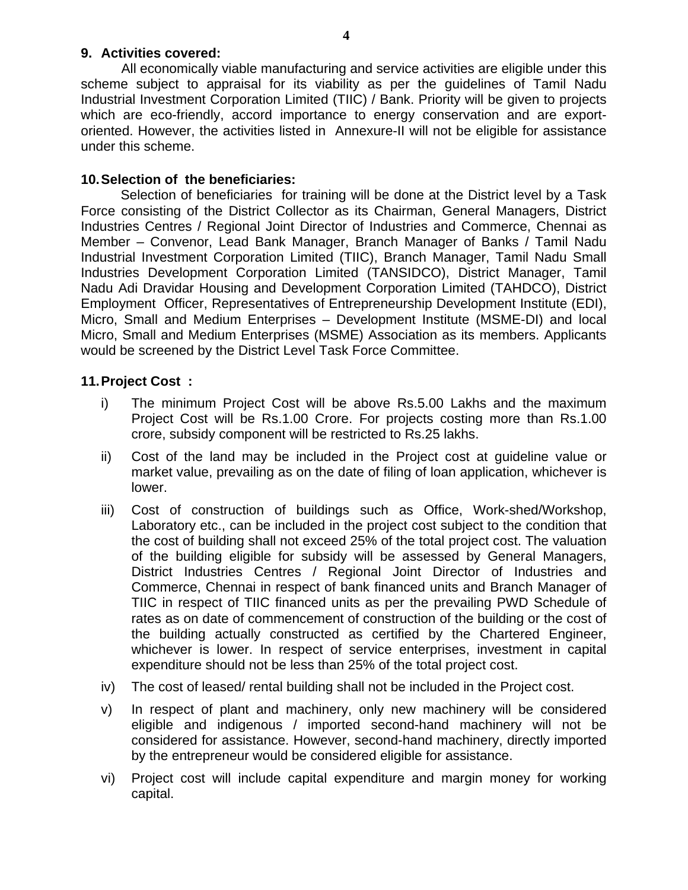### **9. Activities covered:**

All economically viable manufacturing and service activities are eligible under this scheme subject to appraisal for its viability as per the guidelines of Tamil Nadu Industrial Investment Corporation Limited (TIIC) / Bank. Priority will be given to projects which are eco-friendly, accord importance to energy conservation and are exportoriented. However, the activities listed in Annexure-II will not be eligible for assistance under this scheme.

### **10. Selection of the beneficiaries:**

Selection of beneficiaries for training will be done at the District level by a Task Force consisting of the District Collector as its Chairman, General Managers, District Industries Centres / Regional Joint Director of Industries and Commerce, Chennai as Member – Convenor, Lead Bank Manager, Branch Manager of Banks / Tamil Nadu Industrial Investment Corporation Limited (TIIC), Branch Manager, Tamil Nadu Small Industries Development Corporation Limited (TANSIDCO), District Manager, Tamil Nadu Adi Dravidar Housing and Development Corporation Limited (TAHDCO), District Employment Officer, Representatives of Entrepreneurship Development Institute (EDI), Micro, Small and Medium Enterprises – Development Institute (MSME-DI) and local Micro, Small and Medium Enterprises (MSME) Association as its members. Applicants would be screened by the District Level Task Force Committee.

### **11. Project Cost :**

- i) The minimum Project Cost will be above Rs.5.00 Lakhs and the maximum Project Cost will be Rs.1.00 Crore. For projects costing more than Rs.1.00 crore, subsidy component will be restricted to Rs.25 lakhs.
- ii) Cost of the land may be included in the Project cost at guideline value or market value, prevailing as on the date of filing of loan application, whichever is lower.
- iii) Cost of construction of buildings such as Office, Work-shed/Workshop, Laboratory etc., can be included in the project cost subject to the condition that the cost of building shall not exceed 25% of the total project cost. The valuation of the building eligible for subsidy will be assessed by General Managers, District Industries Centres / Regional Joint Director of Industries and Commerce, Chennai in respect of bank financed units and Branch Manager of TIIC in respect of TIIC financed units as per the prevailing PWD Schedule of rates as on date of commencement of construction of the building or the cost of the building actually constructed as certified by the Chartered Engineer, whichever is lower. In respect of service enterprises, investment in capital expenditure should not be less than 25% of the total project cost.
- iv) The cost of leased/ rental building shall not be included in the Project cost.
- v) In respect of plant and machinery, only new machinery will be considered eligible and indigenous / imported second-hand machinery will not be considered for assistance. However, second-hand machinery, directly imported by the entrepreneur would be considered eligible for assistance.
- vi) Project cost will include capital expenditure and margin money for working capital.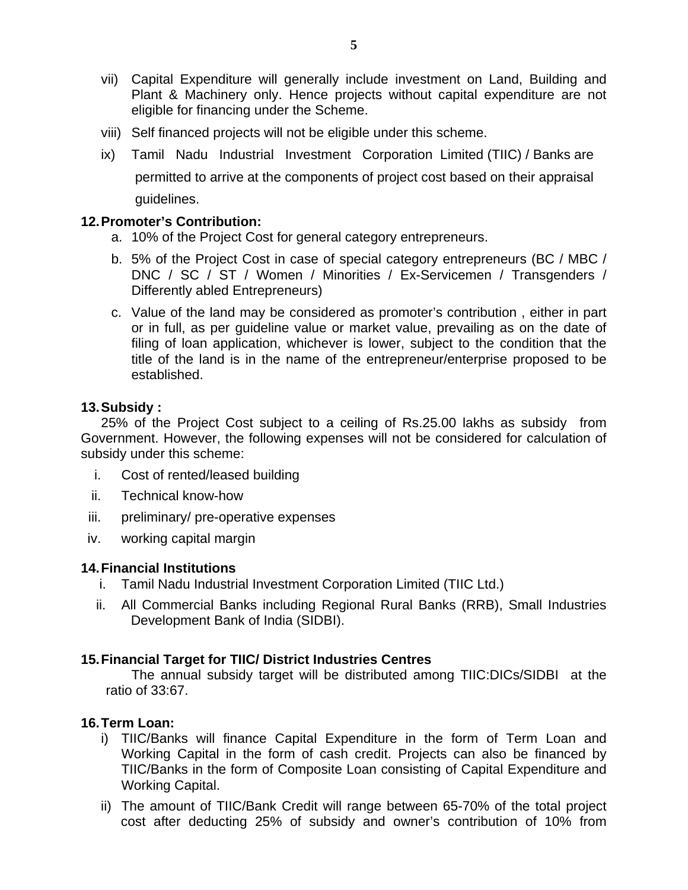- vii) Capital Expenditure will generally include investment on Land, Building and Plant & Machinery only. Hence projects without capital expenditure are not eligible for financing under the Scheme.
- viii) Self financed projects will not be eligible under this scheme.
- ix) Tamil Nadu Industrial Investment Corporation Limited (TIIC) / Banks are permitted to arrive at the components of project cost based on their appraisal guidelines.

#### **12. Promoter's Contribution:**

- a. 10% of the Project Cost for general category entrepreneurs.
- b. 5% of the Project Cost in case of special category entrepreneurs (BC / MBC / DNC / SC / ST / Women / Minorities / Ex-Servicemen / Transgenders / Differently abled Entrepreneurs)
- c. Value of the land may be considered as promoter's contribution , either in part or in full, as per guideline value or market value, prevailing as on the date of filing of loan application, whichever is lower, subject to the condition that the title of the land is in the name of the entrepreneur/enterprise proposed to be established.

#### **13. Subsidy :**

25% of the Project Cost subject to a ceiling of Rs.25.00 lakhs as subsidy from Government. However, the following expenses will not be considered for calculation of subsidy under this scheme:

- i. Cost of rented/leased building
- ii. Technical know-how
- iii. preliminary/ pre-operative expenses
- iv. working capital margin

#### **14. Financial Institutions**

- i. Tamil Nadu Industrial Investment Corporation Limited (TIIC Ltd.)
- ii. All Commercial Banks including Regional Rural Banks (RRB), Small Industries Development Bank of India (SIDBI).

# **15. Financial Target for TIIC/ District Industries Centres**

The annual subsidy target will be distributed among TIIC:DICs/SIDBI at the ratio of 33:67.

#### **16. Term Loan:**

- i) TIIC/Banks will finance Capital Expenditure in the form of Term Loan and Working Capital in the form of cash credit. Projects can also be financed by TIIC/Banks in the form of Composite Loan consisting of Capital Expenditure and Working Capital.
- ii) The amount of TIIC/Bank Credit will range between 65-70% of the total project cost after deducting 25% of subsidy and owner's contribution of 10% from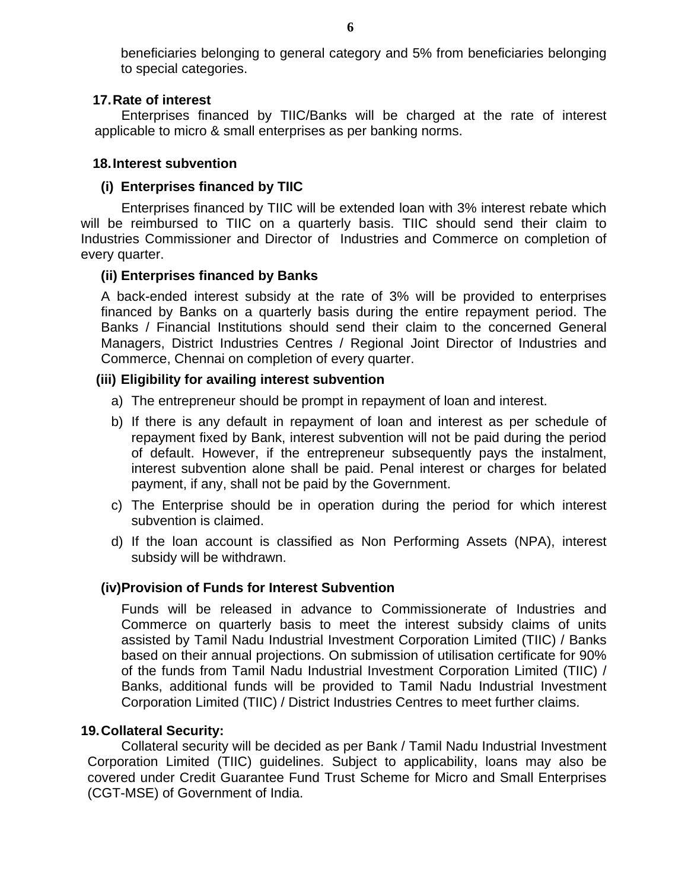beneficiaries belonging to general category and 5% from beneficiaries belonging to special categories.

### **17. Rate of interest**

Enterprises financed by TIIC/Banks will be charged at the rate of interest applicable to micro & small enterprises as per banking norms.

### **18. Interest subvention**

# **(i) Enterprises financed by TIIC**

Enterprises financed by TIIC will be extended loan with 3% interest rebate which will be reimbursed to TIIC on a quarterly basis. TIIC should send their claim to Industries Commissioner and Director of Industries and Commerce on completion of every quarter.

### **(ii) Enterprises financed by Banks**

A back-ended interest subsidy at the rate of 3% will be provided to enterprises financed by Banks on a quarterly basis during the entire repayment period. The Banks / Financial Institutions should send their claim to the concerned General Managers, District Industries Centres / Regional Joint Director of Industries and Commerce, Chennai on completion of every quarter.

### **(iii) Eligibility for availing interest subvention**

- a) The entrepreneur should be prompt in repayment of loan and interest.
- b) If there is any default in repayment of loan and interest as per schedule of repayment fixed by Bank, interest subvention will not be paid during the period of default. However, if the entrepreneur subsequently pays the instalment, interest subvention alone shall be paid. Penal interest or charges for belated payment, if any, shall not be paid by the Government.
- c) The Enterprise should be in operation during the period for which interest subvention is claimed.
- d) If the loan account is classified as Non Performing Assets (NPA), interest subsidy will be withdrawn.

# **(iv) Provision of Funds for Interest Subvention**

Funds will be released in advance to Commissionerate of Industries and Commerce on quarterly basis to meet the interest subsidy claims of units assisted by Tamil Nadu Industrial Investment Corporation Limited (TIIC) / Banks based on their annual projections. On submission of utilisation certificate for 90% of the funds from Tamil Nadu Industrial Investment Corporation Limited (TIIC) / Banks, additional funds will be provided to Tamil Nadu Industrial Investment Corporation Limited (TIIC) / District Industries Centres to meet further claims.

#### **19. Collateral Security:**

Collateral security will be decided as per Bank / Tamil Nadu Industrial Investment Corporation Limited (TIIC) guidelines. Subject to applicability, loans may also be covered under Credit Guarantee Fund Trust Scheme for Micro and Small Enterprises (CGT-MSE) of Government of India.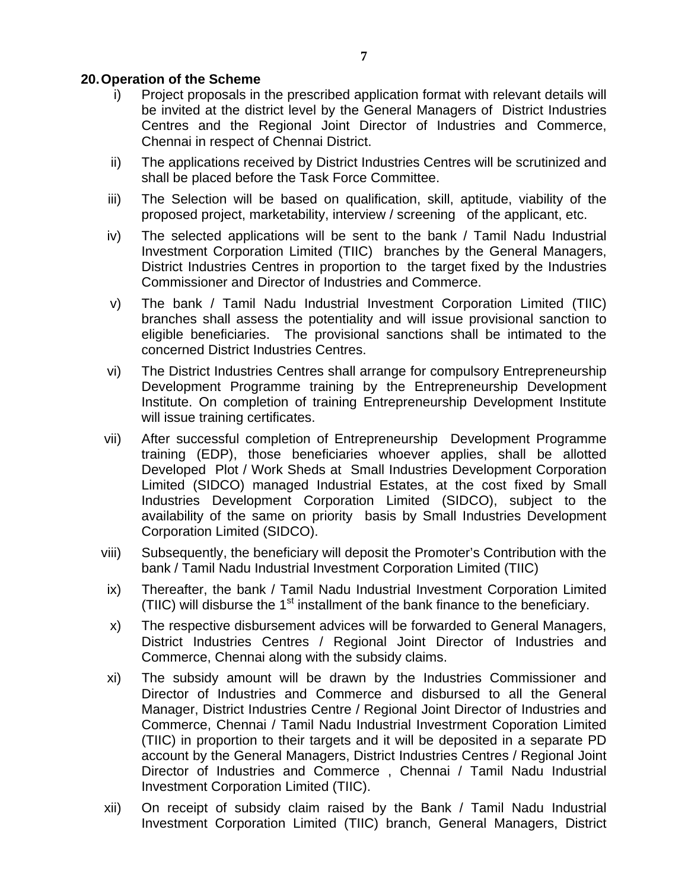# **20. Operation of the Scheme**

- i) Project proposals in the prescribed application format with relevant details will be invited at the district level by the General Managers of District Industries Centres and the Regional Joint Director of Industries and Commerce, Chennai in respect of Chennai District.
- ii) The applications received by District Industries Centres will be scrutinized and shall be placed before the Task Force Committee.
- iii) The Selection will be based on qualification, skill, aptitude, viability of the proposed project, marketability, interview / screening of the applicant, etc.
- iv) The selected applications will be sent to the bank / Tamil Nadu Industrial Investment Corporation Limited (TIIC) branches by the General Managers, District Industries Centres in proportion to the target fixed by the Industries Commissioner and Director of Industries and Commerce.
- v) The bank / Tamil Nadu Industrial Investment Corporation Limited (TIIC) branches shall assess the potentiality and will issue provisional sanction to eligible beneficiaries. The provisional sanctions shall be intimated to the concerned District Industries Centres.
- vi) The District Industries Centres shall arrange for compulsory Entrepreneurship Development Programme training by the Entrepreneurship Development Institute. On completion of training Entrepreneurship Development Institute will issue training certificates.
- vii) After successful completion of Entrepreneurship Development Programme training (EDP), those beneficiaries whoever applies, shall be allotted Developed Plot / Work Sheds at Small Industries Development Corporation Limited (SIDCO) managed Industrial Estates, at the cost fixed by Small Industries Development Corporation Limited (SIDCO), subject to the availability of the same on priority basis by Small Industries Development Corporation Limited (SIDCO).
- viii) Subsequently, the beneficiary will deposit the Promoter's Contribution with the bank / Tamil Nadu Industrial Investment Corporation Limited (TIIC)
- ix) Thereafter, the bank / Tamil Nadu Industrial Investment Corporation Limited (TIIC) will disburse the 1<sup>st</sup> installment of the bank finance to the beneficiary.
- x) The respective disbursement advices will be forwarded to General Managers, District Industries Centres / Regional Joint Director of Industries and Commerce, Chennai along with the subsidy claims.
- xi) The subsidy amount will be drawn by the Industries Commissioner and Director of Industries and Commerce and disbursed to all the General Manager, District Industries Centre / Regional Joint Director of Industries and Commerce, Chennai / Tamil Nadu Industrial Investrment Coporation Limited (TIIC) in proportion to their targets and it will be deposited in a separate PD account by the General Managers, District Industries Centres / Regional Joint Director of Industries and Commerce , Chennai / Tamil Nadu Industrial Investment Corporation Limited (TIIC).
- xii) On receipt of subsidy claim raised by the Bank / Tamil Nadu Industrial Investment Corporation Limited (TIIC) branch, General Managers, District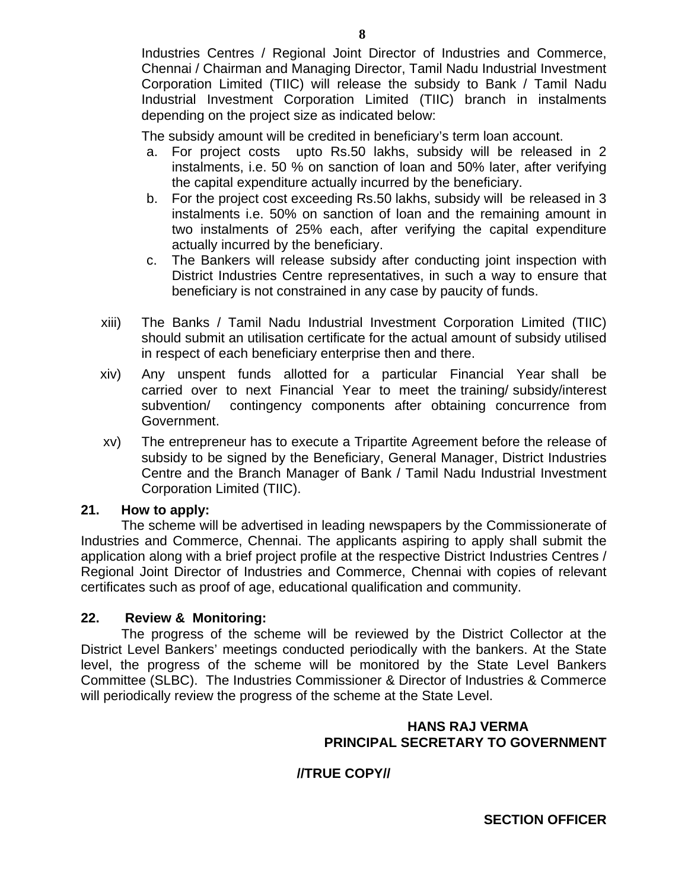Industries Centres / Regional Joint Director of Industries and Commerce, Chennai / Chairman and Managing Director, Tamil Nadu Industrial Investment Corporation Limited (TIIC) will release the subsidy to Bank / Tamil Nadu Industrial Investment Corporation Limited (TIIC) branch in instalments depending on the project size as indicated below:

The subsidy amount will be credited in beneficiary's term loan account.

- a. For project costs upto Rs.50 lakhs, subsidy will be released in 2 instalments, i.e. 50 % on sanction of loan and 50% later, after verifying the capital expenditure actually incurred by the beneficiary.
- b. For the project cost exceeding Rs.50 lakhs, subsidy will be released in 3 instalments i.e. 50% on sanction of loan and the remaining amount in two instalments of 25% each, after verifying the capital expenditure actually incurred by the beneficiary.
- c. The Bankers will release subsidy after conducting joint inspection with District Industries Centre representatives, in such a way to ensure that beneficiary is not constrained in any case by paucity of funds.
- xiii) The Banks / Tamil Nadu Industrial Investment Corporation Limited (TIIC) should submit an utilisation certificate for the actual amount of subsidy utilised in respect of each beneficiary enterprise then and there.
- xiv) Any unspent funds allotted for a particular Financial Year shall be carried over to next Financial Year to meet the training/ subsidy/interest subvention/ contingency components after obtaining concurrence from Government.
- xv) The entrepreneur has to execute a Tripartite Agreement before the release of subsidy to be signed by the Beneficiary, General Manager, District Industries Centre and the Branch Manager of Bank / Tamil Nadu Industrial Investment Corporation Limited (TIIC).

# **21. How to apply:**

 The scheme will be advertised in leading newspapers by the Commissionerate of Industries and Commerce, Chennai. The applicants aspiring to apply shall submit the application along with a brief project profile at the respective District Industries Centres / Regional Joint Director of Industries and Commerce, Chennai with copies of relevant certificates such as proof of age, educational qualification and community.

# **22. Review & Monitoring:**

 The progress of the scheme will be reviewed by the District Collector at the District Level Bankers' meetings conducted periodically with the bankers. At the State level, the progress of the scheme will be monitored by the State Level Bankers Committee (SLBC). The Industries Commissioner & Director of Industries & Commerce will periodically review the progress of the scheme at the State Level.

### **HANS RAJ VERMA PRINCIPAL SECRETARY TO GOVERNMENT**

# **//TRUE COPY//**

**SECTION OFFICER**